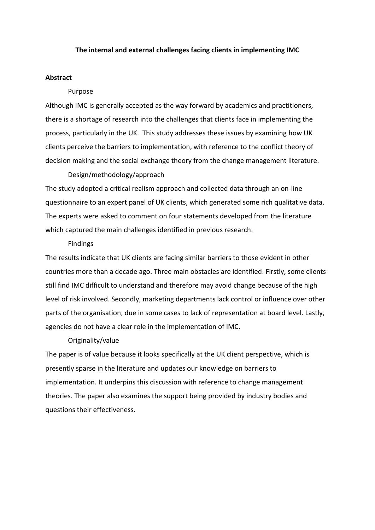### **The internal and external challenges facing clients in implementing IMC**

### **Abstract**

### Purpose

Although IMC is generally accepted as the way forward by academics and practitioners, there is a shortage of research into the challenges that clients face in implementing the process, particularly in the UK. This study addresses these issues by examining how UK clients perceive the barriers to implementation, with reference to the conflict theory of decision making and the social exchange theory from the change management literature.

### Design/methodology/approach

The study adopted a critical realism approach and collected data through an on-line questionnaire to an expert panel of UK clients, which generated some rich qualitative data. The experts were asked to comment on four statements developed from the literature which captured the main challenges identified in previous research.

## Findings

The results indicate that UK clients are facing similar barriers to those evident in other countries more than a decade ago. Three main obstacles are identified. Firstly, some clients still find IMC difficult to understand and therefore may avoid change because of the high level of risk involved. Secondly, marketing departments lack control or influence over other parts of the organisation, due in some cases to lack of representation at board level. Lastly, agencies do not have a clear role in the implementation of IMC.

### Originality/value

The paper is of value because it looks specifically at the UK client perspective, which is presently sparse in the literature and updates our knowledge on barriers to implementation. It underpins this discussion with reference to change management theories. The paper also examines the support being provided by industry bodies and questions their effectiveness.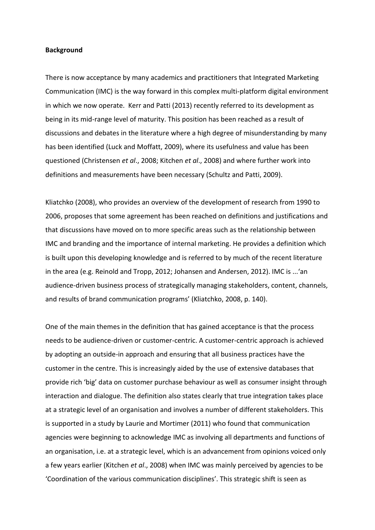### **Background**

There is now acceptance by many academics and practitioners that Integrated Marketing Communication (IMC) is the way forward in this complex multi-platform digital environment in which we now operate. Kerr and Patti (2013) recently referred to its development as being in its mid-range level of maturity. This position has been reached as a result of discussions and debates in the literature where a high degree of misunderstanding by many has been identified (Luck and Moffatt, 2009), where its usefulness and value has been questioned (Christensen *et al*., 2008; Kitchen *et al*., 2008) and where further work into definitions and measurements have been necessary (Schultz and Patti, 2009).

Kliatchko (2008), who provides an overview of the development of research from 1990 to 2006, proposes that some agreement has been reached on definitions and justifications and that discussions have moved on to more specific areas such as the relationship between IMC and branding and the importance of internal marketing. He provides a definition which is built upon this developing knowledge and is referred to by much of the recent literature in the area (e.g. Reinold and Tropp, 2012; Johansen and Andersen, 2012). IMC is ...'an audience-driven business process of strategically managing stakeholders, content, channels, and results of brand communication programs' (Kliatchko, 2008, p. 140).

One of the main themes in the definition that has gained acceptance is that the process needs to be audience-driven or customer-centric. A customer-centric approach is achieved by adopting an outside-in approach and ensuring that all business practices have the customer in the centre. This is increasingly aided by the use of extensive databases that provide rich 'big' data on customer purchase behaviour as well as consumer insight through interaction and dialogue. The definition also states clearly that true integration takes place at a strategic level of an organisation and involves a number of different stakeholders. This is supported in a study by Laurie and Mortimer (2011) who found that communication agencies were beginning to acknowledge IMC as involving all departments and functions of an organisation, i.e. at a strategic level, which is an advancement from opinions voiced only a few years earlier (Kitchen *et al*., 2008) when IMC was mainly perceived by agencies to be 'Coordination of the various communication disciplines'. This strategic shift is seen as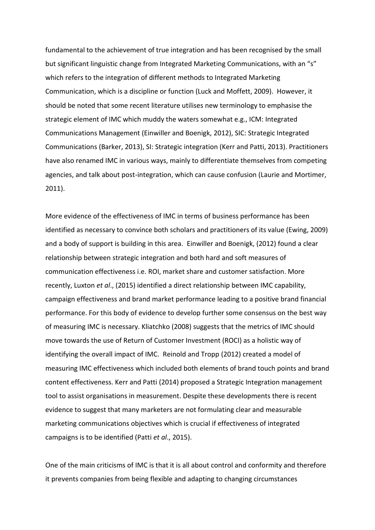fundamental to the achievement of true integration and has been recognised by the small but significant linguistic change from Integrated Marketing Communications, with an "s" which refers to the integration of different methods to Integrated Marketing Communication, which is a discipline or function (Luck and Moffett, 2009). However, it should be noted that some recent literature utilises new terminology to emphasise the strategic element of IMC which muddy the waters somewhat e.g., ICM: Integrated Communications Management (Einwiller and Boenigk, 2012), SIC: Strategic Integrated Communications (Barker, 2013), SI: Strategic integration (Kerr and Patti, 2013). Practitioners have also renamed IMC in various ways, mainly to differentiate themselves from competing agencies, and talk about post-integration, which can cause confusion (Laurie and Mortimer, 2011).

More evidence of the effectiveness of IMC in terms of business performance has been identified as necessary to convince both scholars and practitioners of its value (Ewing, 2009) and a body of support is building in this area. Einwiller and Boenigk, (2012) found a clear relationship between strategic integration and both hard and soft measures of communication effectiveness i.e. ROI, market share and customer satisfaction. More recently, Luxton *et al*., (2015) identified a direct relationship between IMC capability, campaign effectiveness and brand market performance leading to a positive brand financial performance. For this body of evidence to develop further some consensus on the best way of measuring IMC is necessary. Kliatchko (2008) suggests that the metrics of IMC should move towards the use of Return of Customer Investment (ROCI) as a holistic way of identifying the overall impact of IMC. Reinold and Tropp (2012) created a model of measuring IMC effectiveness which included both elements of brand touch points and brand content effectiveness. Kerr and Patti (2014) proposed a Strategic Integration management tool to assist organisations in measurement. Despite these developments there is recent evidence to suggest that many marketers are not formulating clear and measurable marketing communications objectives which is crucial if effectiveness of integrated campaigns is to be identified (Patti *et al*., 2015).

One of the main criticisms of IMC is that it is all about control and conformity and therefore it prevents companies from being flexible and adapting to changing circumstances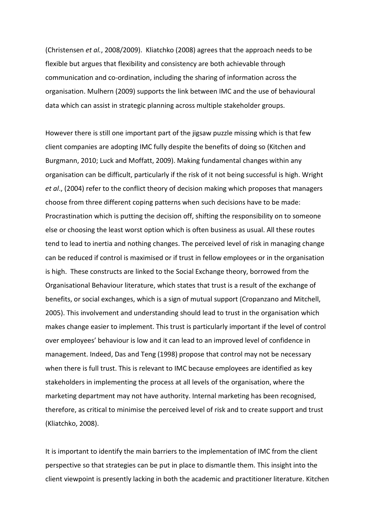(Christensen *et al.*, 2008/2009). Kliatchko (2008) agrees that the approach needs to be flexible but argues that flexibility and consistency are both achievable through communication and co-ordination, including the sharing of information across the organisation. Mulhern (2009) supports the link between IMC and the use of behavioural data which can assist in strategic planning across multiple stakeholder groups.

However there is still one important part of the jigsaw puzzle missing which is that few client companies are adopting IMC fully despite the benefits of doing so (Kitchen and Burgmann, 2010; Luck and Moffatt, 2009). Making fundamental changes within any organisation can be difficult, particularly if the risk of it not being successful is high. Wright *et al*., (2004) refer to the conflict theory of decision making which proposes that managers choose from three different coping patterns when such decisions have to be made: Procrastination which is putting the decision off, shifting the responsibility on to someone else or choosing the least worst option which is often business as usual. All these routes tend to lead to inertia and nothing changes. The perceived level of risk in managing change can be reduced if control is maximised or if trust in fellow employees or in the organisation is high. These constructs are linked to the Social Exchange theory, borrowed from the Organisational Behaviour literature, which states that trust is a result of the exchange of benefits, or social exchanges, which is a sign of mutual support (Cropanzano and Mitchell, 2005). This involvement and understanding should lead to trust in the organisation which makes change easier to implement. This trust is particularly important if the level of control over employees' behaviour is low and it can lead to an improved level of confidence in management. Indeed, Das and Teng (1998) propose that control may not be necessary when there is full trust. This is relevant to IMC because employees are identified as key stakeholders in implementing the process at all levels of the organisation, where the marketing department may not have authority. Internal marketing has been recognised, therefore, as critical to minimise the perceived level of risk and to create support and trust (Kliatchko, 2008).

It is important to identify the main barriers to the implementation of IMC from the client perspective so that strategies can be put in place to dismantle them. This insight into the client viewpoint is presently lacking in both the academic and practitioner literature. Kitchen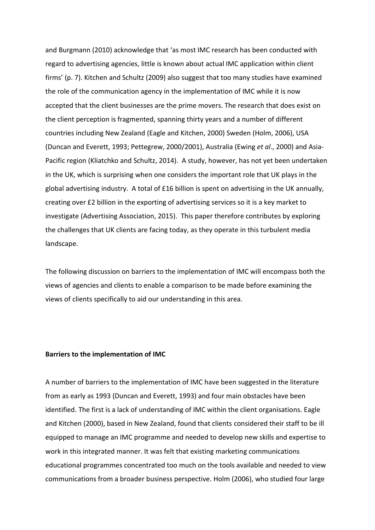and Burgmann (2010) acknowledge that 'as most IMC research has been conducted with regard to advertising agencies, little is known about actual IMC application within client firms' (p. 7). Kitchen and Schultz (2009) also suggest that too many studies have examined the role of the communication agency in the implementation of IMC while it is now accepted that the client businesses are the prime movers. The research that does exist on the client perception is fragmented, spanning thirty years and a number of different countries including New Zealand (Eagle and Kitchen, 2000) Sweden (Holm, 2006), USA (Duncan and Everett, 1993; Pettegrew, 2000/2001), Australia (Ewing *et al*., 2000) and Asia-Pacific region (Kliatchko and Schultz, 2014). A study, however, has not yet been undertaken in the UK, which is surprising when one considers the important role that UK plays in the global advertising industry. A total of £16 billion is spent on advertising in the UK annually, creating over £2 billion in the exporting of advertising services so it is a key market to investigate (Advertising Association, 2015). This paper therefore contributes by exploring the challenges that UK clients are facing today, as they operate in this turbulent media landscape.

The following discussion on barriers to the implementation of IMC will encompass both the views of agencies and clients to enable a comparison to be made before examining the views of clients specifically to aid our understanding in this area.

### **Barriers to the implementation of IMC**

A number of barriers to the implementation of IMC have been suggested in the literature from as early as 1993 (Duncan and Everett, 1993) and four main obstacles have been identified. The first is a lack of understanding of IMC within the client organisations. Eagle and Kitchen (2000), based in New Zealand, found that clients considered their staff to be ill equipped to manage an IMC programme and needed to develop new skills and expertise to work in this integrated manner. It was felt that existing marketing communications educational programmes concentrated too much on the tools available and needed to view communications from a broader business perspective. Holm (2006), who studied four large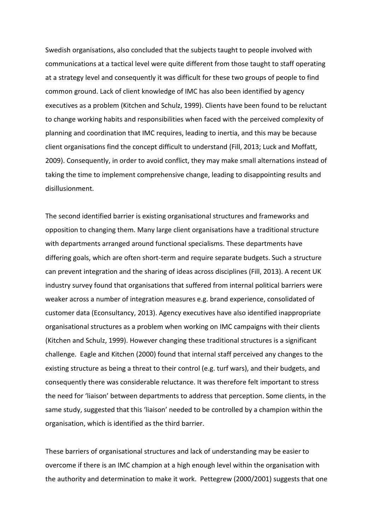Swedish organisations, also concluded that the subjects taught to people involved with communications at a tactical level were quite different from those taught to staff operating at a strategy level and consequently it was difficult for these two groups of people to find common ground. Lack of client knowledge of IMC has also been identified by agency executives as a problem (Kitchen and Schulz, 1999). Clients have been found to be reluctant to change working habits and responsibilities when faced with the perceived complexity of planning and coordination that IMC requires, leading to inertia, and this may be because client organisations find the concept difficult to understand (Fill, 2013; Luck and Moffatt, 2009). Consequently, in order to avoid conflict, they may make small alternations instead of taking the time to implement comprehensive change, leading to disappointing results and disillusionment.

The second identified barrier is existing organisational structures and frameworks and opposition to changing them. Many large client organisations have a traditional structure with departments arranged around functional specialisms. These departments have differing goals, which are often short-term and require separate budgets. Such a structure can prevent integration and the sharing of ideas across disciplines (Fill, 2013). A recent UK industry survey found that organisations that suffered from internal political barriers were weaker across a number of integration measures e.g. brand experience, consolidated of customer data (Econsultancy, 2013). Agency executives have also identified inappropriate organisational structures as a problem when working on IMC campaigns with their clients (Kitchen and Schulz, 1999). However changing these traditional structures is a significant challenge. Eagle and Kitchen (2000) found that internal staff perceived any changes to the existing structure as being a threat to their control (e.g. turf wars), and their budgets, and consequently there was considerable reluctance. It was therefore felt important to stress the need for 'liaison' between departments to address that perception. Some clients, in the same study, suggested that this 'liaison' needed to be controlled by a champion within the organisation, which is identified as the third barrier.

These barriers of organisational structures and lack of understanding may be easier to overcome if there is an IMC champion at a high enough level within the organisation with the authority and determination to make it work. Pettegrew (2000/2001) suggests that one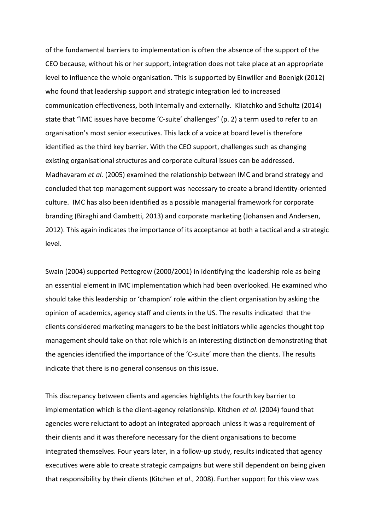of the fundamental barriers to implementation is often the absence of the support of the CEO because, without his or her support, integration does not take place at an appropriate level to influence the whole organisation. This is supported by Einwiller and Boenigk (2012) who found that leadership support and strategic integration led to increased communication effectiveness, both internally and externally. Kliatchko and Schultz (2014) state that "IMC issues have become 'C-suite' challenges" (p. 2) a term used to refer to an organisation's most senior executives. This lack of a voice at board level is therefore identified as the third key barrier. With the CEO support, challenges such as changing existing organisational structures and corporate cultural issues can be addressed. Madhavaram *et al.* (2005) examined the relationship between IMC and brand strategy and concluded that top management support was necessary to create a brand identity-oriented culture. IMC has also been identified as a possible managerial framework for corporate branding (Biraghi and Gambetti, 2013) and corporate marketing (Johansen and Andersen, 2012). This again indicates the importance of its acceptance at both a tactical and a strategic level.

Swain (2004) supported Pettegrew (2000/2001) in identifying the leadership role as being an essential element in IMC implementation which had been overlooked. He examined who should take this leadership or 'champion' role within the client organisation by asking the opinion of academics, agency staff and clients in the US. The results indicated that the clients considered marketing managers to be the best initiators while agencies thought top management should take on that role which is an interesting distinction demonstrating that the agencies identified the importance of the 'C-suite' more than the clients. The results indicate that there is no general consensus on this issue.

This discrepancy between clients and agencies highlights the fourth key barrier to implementation which is the client-agency relationship. Kitchen *et al*. (2004) found that agencies were reluctant to adopt an integrated approach unless it was a requirement of their clients and it was therefore necessary for the client organisations to become integrated themselves. Four years later, in a follow-up study, results indicated that agency executives were able to create strategic campaigns but were still dependent on being given that responsibility by their clients (Kitchen *et al*., 2008). Further support for this view was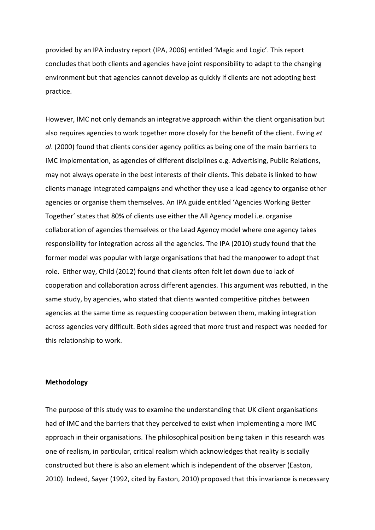provided by an IPA industry report (IPA, 2006) entitled 'Magic and Logic'. This report concludes that both clients and agencies have joint responsibility to adapt to the changing environment but that agencies cannot develop as quickly if clients are not adopting best practice.

However, IMC not only demands an integrative approach within the client organisation but also requires agencies to work together more closely for the benefit of the client. Ewing *et al*. (2000) found that clients consider agency politics as being one of the main barriers to IMC implementation, as agencies of different disciplines e.g. Advertising, Public Relations, may not always operate in the best interests of their clients. This debate is linked to how clients manage integrated campaigns and whether they use a lead agency to organise other agencies or organise them themselves. An IPA guide entitled 'Agencies Working Better Together' states that 80% of clients use either the All Agency model i.e. organise collaboration of agencies themselves or the Lead Agency model where one agency takes responsibility for integration across all the agencies. The IPA (2010) study found that the former model was popular with large organisations that had the manpower to adopt that role. Either way, Child (2012) found that clients often felt let down due to lack of cooperation and collaboration across different agencies. This argument was rebutted, in the same study, by agencies, who stated that clients wanted competitive pitches between agencies at the same time as requesting cooperation between them, making integration across agencies very difficult. Both sides agreed that more trust and respect was needed for this relationship to work.

## **Methodology**

The purpose of this study was to examine the understanding that UK client organisations had of IMC and the barriers that they perceived to exist when implementing a more IMC approach in their organisations. The philosophical position being taken in this research was one of realism, in particular, critical realism which acknowledges that reality is socially constructed but there is also an element which is independent of the observer (Easton, 2010). Indeed, Sayer (1992, cited by Easton, 2010) proposed that this invariance is necessary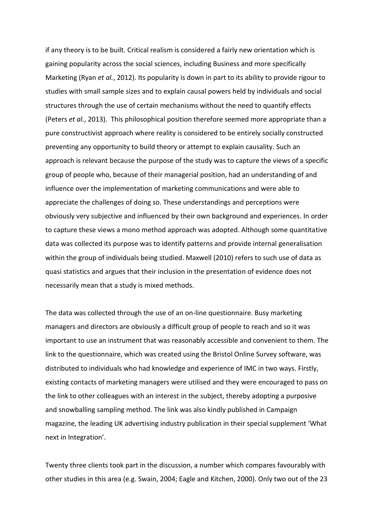if any theory is to be built. Critical realism is considered a fairly new orientation which is gaining popularity across the social sciences, including Business and more specifically Marketing (Ryan *et al.*, 2012). Its popularity is down in part to its ability to provide rigour to studies with small sample sizes and to explain causal powers held by individuals and social structures through the use of certain mechanisms without the need to quantify effects (Peters *et al.*, 2013). This philosophical position therefore seemed more appropriate than a pure constructivist approach where reality is considered to be entirely socially constructed preventing any opportunity to build theory or attempt to explain causality. Such an approach is relevant because the purpose of the study was to capture the views of a specific group of people who, because of their managerial position, had an understanding of and influence over the implementation of marketing communications and were able to appreciate the challenges of doing so. These understandings and perceptions were obviously very subjective and influenced by their own background and experiences. In order to capture these views a mono method approach was adopted. Although some quantitative data was collected its purpose was to identify patterns and provide internal generalisation within the group of individuals being studied. Maxwell (2010) refers to such use of data as quasi statistics and argues that their inclusion in the presentation of evidence does not necessarily mean that a study is mixed methods.

The data was collected through the use of an on-line questionnaire. Busy marketing managers and directors are obviously a difficult group of people to reach and so it was important to use an instrument that was reasonably accessible and convenient to them. The link to the questionnaire, which was created using the Bristol Online Survey software, was distributed to individuals who had knowledge and experience of IMC in two ways. Firstly, existing contacts of marketing managers were utilised and they were encouraged to pass on the link to other colleagues with an interest in the subject, thereby adopting a purposive and snowballing sampling method. The link was also kindly published in Campaign magazine, the leading UK advertising industry publication in their special supplement 'What next in Integration'.

Twenty three clients took part in the discussion, a number which compares favourably with other studies in this area (e.g. Swain, 2004; Eagle and Kitchen, 2000). Only two out of the 23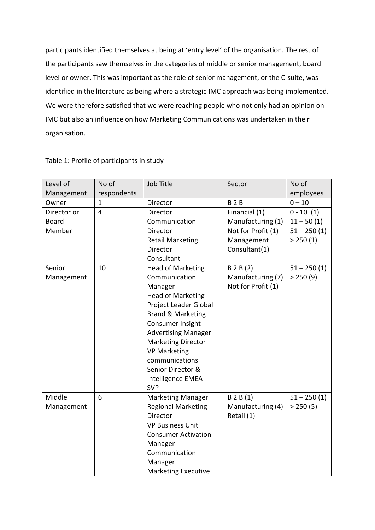participants identified themselves at being at 'entry level' of the organisation. The rest of the participants saw themselves in the categories of middle or senior management, board level or owner. This was important as the role of senior management, or the C-suite, was identified in the literature as being where a strategic IMC approach was being implemented. We were therefore satisfied that we were reaching people who not only had an opinion on IMC but also an influence on how Marketing Communications was undertaken in their organisation.

| Level of     | No of          | Job Title                  | Sector             | No of         |
|--------------|----------------|----------------------------|--------------------|---------------|
| Management   | respondents    |                            |                    | employees     |
| Owner        | $\mathbf{1}$   | Director                   | <b>B2B</b>         | $0 - 10$      |
| Director or  | $\overline{4}$ | Director                   | Financial (1)      | $0 - 10(1)$   |
| <b>Board</b> |                | Communication              | Manufacturing (1)  | $11 - 50(1)$  |
| Member       |                | Director                   | Not for Profit (1) | $51 - 250(1)$ |
|              |                | <b>Retail Marketing</b>    | Management         | > 250(1)      |
|              |                | Director                   | Consultant(1)      |               |
|              |                | Consultant                 |                    |               |
| Senior       | 10             | <b>Head of Marketing</b>   | B 2 B (2)          | $51 - 250(1)$ |
| Management   |                | Communication              | Manufacturing (7)  | > 250(9)      |
|              |                | Manager                    | Not for Profit (1) |               |
|              |                | <b>Head of Marketing</b>   |                    |               |
|              |                | Project Leader Global      |                    |               |
|              |                | Brand & Marketing          |                    |               |
|              |                | Consumer Insight           |                    |               |
|              |                | <b>Advertising Manager</b> |                    |               |
|              |                | <b>Marketing Director</b>  |                    |               |
|              |                | <b>VP Marketing</b>        |                    |               |
|              |                | communications             |                    |               |
|              |                | Senior Director &          |                    |               |
|              |                | Intelligence EMEA          |                    |               |
|              |                | <b>SVP</b>                 |                    |               |
| Middle       | 6              | <b>Marketing Manager</b>   | B 2 B(1)           | $51 - 250(1)$ |
| Management   |                | <b>Regional Marketing</b>  | Manufacturing (4)  | > 250(5)      |
|              |                | Director                   | Retail (1)         |               |
|              |                | <b>VP Business Unit</b>    |                    |               |
|              |                | <b>Consumer Activation</b> |                    |               |
|              |                | Manager                    |                    |               |
|              |                | Communication              |                    |               |
|              |                | Manager                    |                    |               |
|              |                | <b>Marketing Executive</b> |                    |               |

# Table 1: Profile of participants in study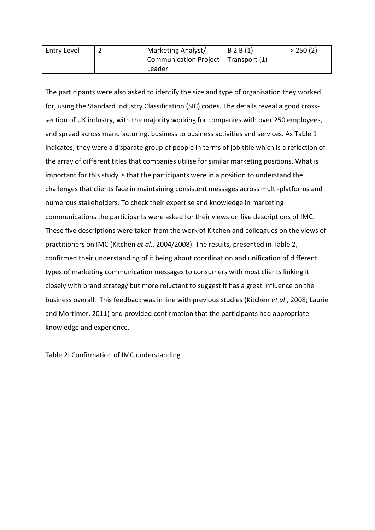| Entry Level | Marketing Analyst/                    | B2B(1) | > 250(2) |
|-------------|---------------------------------------|--------|----------|
|             | Communication Project   Transport (1) |        |          |
|             | Leader                                |        |          |

The participants were also asked to identify the size and type of organisation they worked for, using the Standard Industry Classification (SIC) codes. The details reveal a good crosssection of UK industry, with the majority working for companies with over 250 employees, and spread across manufacturing, business to business activities and services. As Table 1 indicates, they were a disparate group of people in terms of job title which is a reflection of the array of different titles that companies utilise for similar marketing positions. What is important for this study is that the participants were in a position to understand the challenges that clients face in maintaining consistent messages across multi-platforms and numerous stakeholders. To check their expertise and knowledge in marketing communications the participants were asked for their views on five descriptions of IMC. These five descriptions were taken from the work of Kitchen and colleagues on the views of practitioners on IMC (Kitchen *et al*., 2004/2008). The results, presented in Table 2, confirmed their understanding of it being about coordination and unification of different types of marketing communication messages to consumers with most clients linking it closely with brand strategy but more reluctant to suggest it has a great influence on the business overall. This feedback was in line with previous studies (Kitchen *et al*., 2008; Laurie and Mortimer, 2011) and provided confirmation that the participants had appropriate knowledge and experience.

Table 2: Confirmation of IMC understanding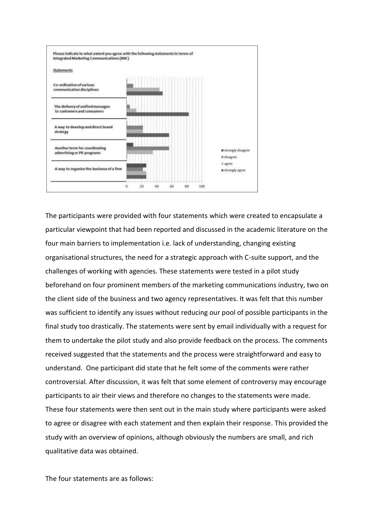

The participants were provided with four statements which were created to encapsulate a particular viewpoint that had been reported and discussed in the academic literature on the four main barriers to implementation i.e. lack of understanding, changing existing organisational structures, the need for a strategic approach with C-suite support, and the challenges of working with agencies. These statements were tested in a pilot study beforehand on four prominent members of the marketing communications industry, two on the client side of the business and two agency representatives. It was felt that this number was sufficient to identify any issues without reducing our pool of possible participants in the final study too drastically. The statements were sent by email individually with a request for them to undertake the pilot study and also provide feedback on the process. The comments received suggested that the statements and the process were straightforward and easy to understand. One participant did state that he felt some of the comments were rather controversial. After discussion, it was felt that some element of controversy may encourage participants to air their views and therefore no changes to the statements were made. These four statements were then sent out in the main study where participants were asked to agree or disagree with each statement and then explain their response. This provided the study with an overview of opinions, although obviously the numbers are small, and rich qualitative data was obtained.

The four statements are as follows: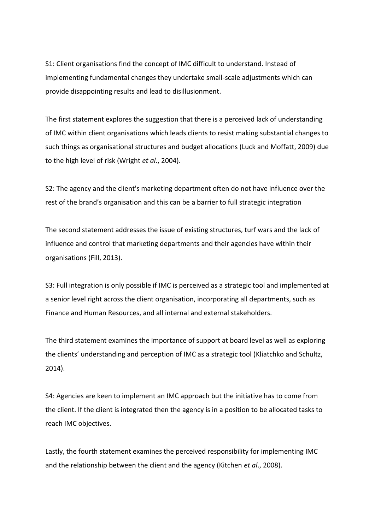S1: Client organisations find the concept of IMC difficult to understand. Instead of implementing fundamental changes they undertake small-scale adjustments which can provide disappointing results and lead to disillusionment.

The first statement explores the suggestion that there is a perceived lack of understanding of IMC within client organisations which leads clients to resist making substantial changes to such things as organisational structures and budget allocations (Luck and Moffatt, 2009) due to the high level of risk (Wright *et al*., 2004).

S2: The agency and the client's marketing department often do not have influence over the rest of the brand's organisation and this can be a barrier to full strategic integration

The second statement addresses the issue of existing structures, turf wars and the lack of influence and control that marketing departments and their agencies have within their organisations (Fill, 2013).

S3: Full integration is only possible if IMC is perceived as a strategic tool and implemented at a senior level right across the client organisation, incorporating all departments, such as Finance and Human Resources, and all internal and external stakeholders.

The third statement examines the importance of support at board level as well as exploring the clients' understanding and perception of IMC as a strategic tool (Kliatchko and Schultz, 2014).

S4: Agencies are keen to implement an IMC approach but the initiative has to come from the client. If the client is integrated then the agency is in a position to be allocated tasks to reach IMC objectives.

Lastly, the fourth statement examines the perceived responsibility for implementing IMC and the relationship between the client and the agency (Kitchen *et al*., 2008).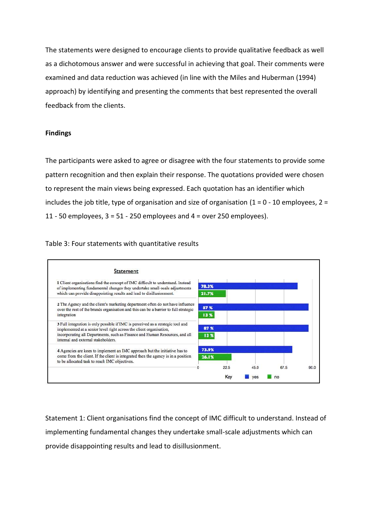The statements were designed to encourage clients to provide qualitative feedback as well as a dichotomous answer and were successful in achieving that goal. Their comments were examined and data reduction was achieved (in line with the Miles and Huberman (1994) approach) by identifying and presenting the comments that best represented the overall feedback from the clients.

# **Findings**

The participants were asked to agree or disagree with the four statements to provide some pattern recognition and then explain their response. The quotations provided were chosen to represent the main views being expressed. Each quotation has an identifier which includes the job title, type of organisation and size of organisation  $(1 = 0 - 10$  employees,  $2 =$ 11 - 50 employees,  $3 = 51 - 250$  employees and  $4 =$  over 250 employees).

# Table 3: Four statements with quantitative results



Statement 1: Client organisations find the concept of IMC difficult to understand. Instead of implementing fundamental changes they undertake small-scale adjustments which can provide disappointing results and lead to disillusionment.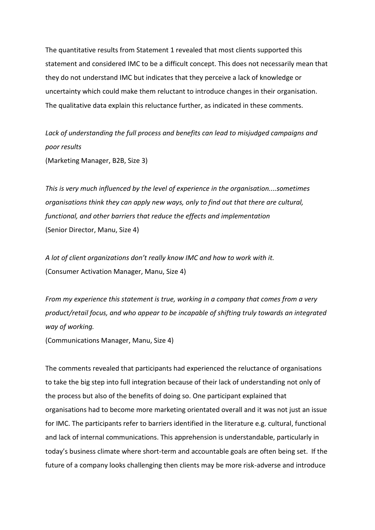The quantitative results from Statement 1 revealed that most clients supported this statement and considered IMC to be a difficult concept. This does not necessarily mean that they do not understand IMC but indicates that they perceive a lack of knowledge or uncertainty which could make them reluctant to introduce changes in their organisation. The qualitative data explain this reluctance further, as indicated in these comments.

*Lack of understanding the full process and benefits can lead to misjudged campaigns and poor results* (Marketing Manager, B2B, Size 3)

*This is very much influenced by the level of experience in the organisation....sometimes organisations think they can apply new ways, only to find out that there are cultural, functional, and other barriers that reduce the effects and implementation*  (Senior Director, Manu, Size 4)

*A lot of client organizations don't really know IMC and how to work with it.* (Consumer Activation Manager, Manu, Size 4)

*From my experience this statement is true, working in a company that comes from a very product/retail focus, and who appear to be incapable of shifting truly towards an integrated way of working.*

(Communications Manager, Manu, Size 4)

The comments revealed that participants had experienced the reluctance of organisations to take the big step into full integration because of their lack of understanding not only of the process but also of the benefits of doing so. One participant explained that organisations had to become more marketing orientated overall and it was not just an issue for IMC. The participants refer to barriers identified in the literature e.g. cultural, functional and lack of internal communications. This apprehension is understandable, particularly in today's business climate where short-term and accountable goals are often being set. If the future of a company looks challenging then clients may be more risk-adverse and introduce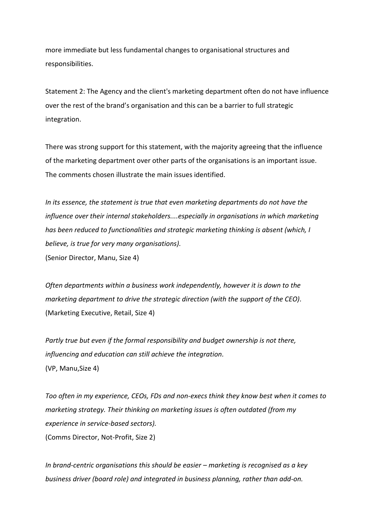more immediate but less fundamental changes to organisational structures and responsibilities.

Statement 2: The Agency and the client's marketing department often do not have influence over the rest of the brand's organisation and this can be a barrier to full strategic integration.

There was strong support for this statement, with the majority agreeing that the influence of the marketing department over other parts of the organisations is an important issue. The comments chosen illustrate the main issues identified.

*In its essence, the statement is true that even marketing departments do not have the*  influence over their internal stakeholders....especially in organisations in which marketing *has been reduced to functionalities and strategic marketing thinking is absent (which, I believe, is true for very many organisations).* (Senior Director, Manu, Size 4)

*Often departments within a business work independently, however it is down to the marketing department to drive the strategic direction (with the support of the CEO).* (Marketing Executive, Retail, Size 4)

*Partly true but even if the formal responsibility and budget ownership is not there, influencing and education can still achieve the integration.* (VP, Manu,Size 4)

*Too often in my experience, CEOs, FDs and non-execs think they know best when it comes to marketing strategy. Their thinking on marketing issues is often outdated (from my experience in service-based sectors).* (Comms Director, Not-Profit, Size 2)

*In brand-centric organisations this should be easier – marketing is recognised as a key business driver (board role) and integrated in business planning, rather than add-on.*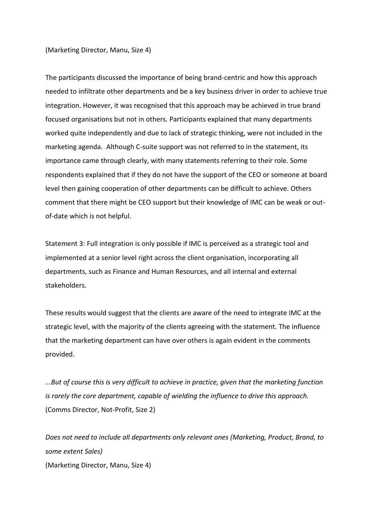## (Marketing Director, Manu, Size 4)

The participants discussed the importance of being brand-centric and how this approach needed to infiltrate other departments and be a key business driver in order to achieve true integration. However, it was recognised that this approach may be achieved in true brand focused organisations but not in others. Participants explained that many departments worked quite independently and due to lack of strategic thinking, were not included in the marketing agenda. Although C-suite support was not referred to in the statement, its importance came through clearly, with many statements referring to their role. Some respondents explained that if they do not have the support of the CEO or someone at board level then gaining cooperation of other departments can be difficult to achieve. Others comment that there might be CEO support but their knowledge of IMC can be weak or outof-date which is not helpful.

Statement 3: Full integration is only possible if IMC is perceived as a strategic tool and implemented at a senior level right across the client organisation, incorporating all departments, such as Finance and Human Resources, and all internal and external stakeholders.

These results would suggest that the clients are aware of the need to integrate IMC at the strategic level, with the majority of the clients agreeing with the statement. The influence that the marketing department can have over others is again evident in the comments provided.

*...But of course this is very difficult to achieve in practice, given that the marketing function is rarely the core department, capable of wielding the influence to drive this approach.* (Comms Director, Not-Profit, Size 2)

*Does not need to include all departments only relevant ones (Marketing, Product, Brand, to some extent Sales)* (Marketing Director, Manu, Size 4)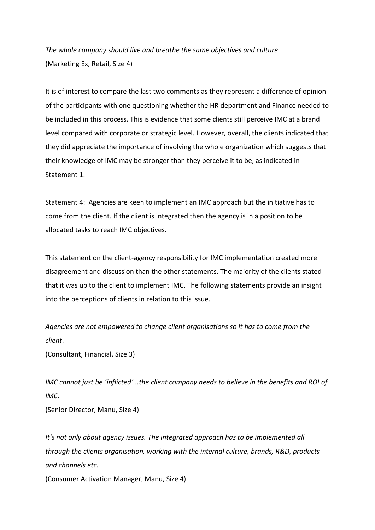*The whole company should live and breathe the same objectives and culture*  (Marketing Ex, Retail, Size 4)

It is of interest to compare the last two comments as they represent a difference of opinion of the participants with one questioning whether the HR department and Finance needed to be included in this process. This is evidence that some clients still perceive IMC at a brand level compared with corporate or strategic level. However, overall, the clients indicated that they did appreciate the importance of involving the whole organization which suggests that their knowledge of IMC may be stronger than they perceive it to be, as indicated in Statement 1.

Statement 4: Agencies are keen to implement an IMC approach but the initiative has to come from the client. If the client is integrated then the agency is in a position to be allocated tasks to reach IMC objectives.

This statement on the client-agency responsibility for IMC implementation created more disagreement and discussion than the other statements. The majority of the clients stated that it was up to the client to implement IMC. The following statements provide an insight into the perceptions of clients in relation to this issue.

*Agencies are not empowered to change client organisations so it has to come from the client*.

(Consultant, Financial, Size 3)

*IMC cannot just be ´inflicted´...the client company needs to believe in the benefits and ROI of IMC.* (Senior Director, Manu, Size 4)

*It's not only about agency issues. The integrated approach has to be implemented all through the clients organisation, working with the internal culture, brands, R&D, products and channels etc.*

(Consumer Activation Manager, Manu, Size 4)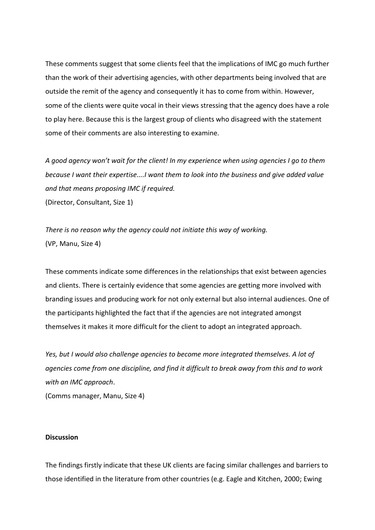These comments suggest that some clients feel that the implications of IMC go much further than the work of their advertising agencies, with other departments being involved that are outside the remit of the agency and consequently it has to come from within. However, some of the clients were quite vocal in their views stressing that the agency does have a role to play here. Because this is the largest group of clients who disagreed with the statement some of their comments are also interesting to examine.

*A good agency won't wait for the client! In my experience when using agencies I go to them because I want their expertise....I want them to look into the business and give added value and that means proposing IMC if required.* (Director, Consultant, Size 1)

*There is no reason why the agency could not initiate this way of working.* (VP, Manu, Size 4)

These comments indicate some differences in the relationships that exist between agencies and clients. There is certainly evidence that some agencies are getting more involved with branding issues and producing work for not only external but also internal audiences. One of the participants highlighted the fact that if the agencies are not integrated amongst themselves it makes it more difficult for the client to adopt an integrated approach.

*Yes, but I would also challenge agencies to become more integrated themselves. A lot of agencies come from one discipline, and find it difficult to break away from this and to work with an IMC approach*.

(Comms manager, Manu, Size 4)

# **Discussion**

The findings firstly indicate that these UK clients are facing similar challenges and barriers to those identified in the literature from other countries (e.g. Eagle and Kitchen, 2000; Ewing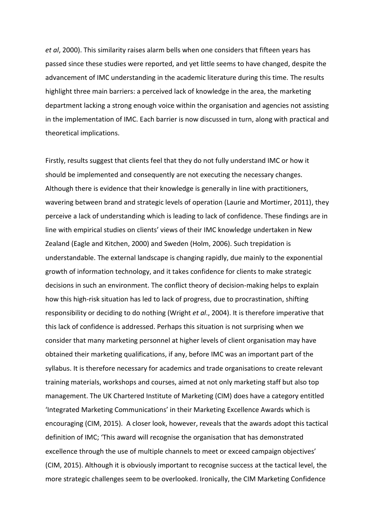*et al*, 2000). This similarity raises alarm bells when one considers that fifteen years has passed since these studies were reported, and yet little seems to have changed, despite the advancement of IMC understanding in the academic literature during this time. The results highlight three main barriers: a perceived lack of knowledge in the area, the marketing department lacking a strong enough voice within the organisation and agencies not assisting in the implementation of IMC. Each barrier is now discussed in turn, along with practical and theoretical implications.

Firstly, results suggest that clients feel that they do not fully understand IMC or how it should be implemented and consequently are not executing the necessary changes. Although there is evidence that their knowledge is generally in line with practitioners, wavering between brand and strategic levels of operation (Laurie and Mortimer, 2011), they perceive a lack of understanding which is leading to lack of confidence. These findings are in line with empirical studies on clients' views of their IMC knowledge undertaken in New Zealand (Eagle and Kitchen, 2000) and Sweden (Holm, 2006). Such trepidation is understandable. The external landscape is changing rapidly, due mainly to the exponential growth of information technology, and it takes confidence for clients to make strategic decisions in such an environment. The conflict theory of decision-making helps to explain how this high-risk situation has led to lack of progress, due to procrastination, shifting responsibility or deciding to do nothing (Wright *et al*., 2004). It is therefore imperative that this lack of confidence is addressed. Perhaps this situation is not surprising when we consider that many marketing personnel at higher levels of client organisation may have obtained their marketing qualifications, if any, before IMC was an important part of the syllabus. It is therefore necessary for academics and trade organisations to create relevant training materials, workshops and courses, aimed at not only marketing staff but also top management. The UK Chartered Institute of Marketing (CIM) does have a category entitled 'Integrated Marketing Communications' in their Marketing Excellence Awards which is encouraging (CIM, 2015). A closer look, however, reveals that the awards adopt this tactical definition of IMC; 'This award will recognise the organisation that has demonstrated excellence through the use of multiple channels to meet or exceed campaign objectives' (CIM, 2015). Although it is obviously important to recognise success at the tactical level, the more strategic challenges seem to be overlooked. Ironically, the CIM Marketing Confidence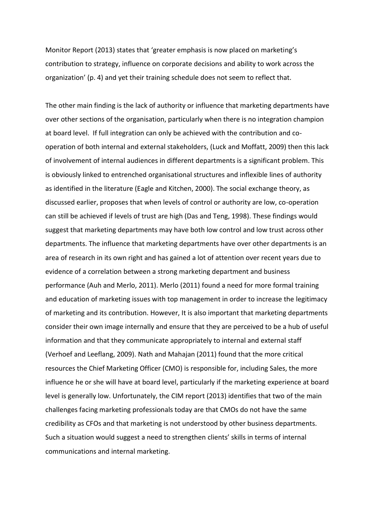Monitor Report (2013) states that 'greater emphasis is now placed on marketing's contribution to strategy, influence on corporate decisions and ability to work across the organization' (p. 4) and yet their training schedule does not seem to reflect that.

The other main finding is the lack of authority or influence that marketing departments have over other sections of the organisation, particularly when there is no integration champion at board level. If full integration can only be achieved with the contribution and cooperation of both internal and external stakeholders, (Luck and Moffatt, 2009) then this lack of involvement of internal audiences in different departments is a significant problem. This is obviously linked to entrenched organisational structures and inflexible lines of authority as identified in the literature (Eagle and Kitchen, 2000). The social exchange theory, as discussed earlier, proposes that when levels of control or authority are low, co-operation can still be achieved if levels of trust are high (Das and Teng, 1998). These findings would suggest that marketing departments may have both low control and low trust across other departments. The influence that marketing departments have over other departments is an area of research in its own right and has gained a lot of attention over recent years due to evidence of a correlation between a strong marketing department and business performance (Auh and Merlo, 2011). Merlo (2011) found a need for more formal training and education of marketing issues with top management in order to increase the legitimacy of marketing and its contribution. However, It is also important that marketing departments consider their own image internally and ensure that they are perceived to be a hub of useful information and that they communicate appropriately to internal and external staff (Verhoef and Leeflang, 2009). Nath and Mahajan (2011) found that the more critical resources the Chief Marketing Officer (CMO) is responsible for, including Sales, the more influence he or she will have at board level, particularly if the marketing experience at board level is generally low. Unfortunately, the CIM report (2013) identifies that two of the main challenges facing marketing professionals today are that CMOs do not have the same credibility as CFOs and that marketing is not understood by other business departments. Such a situation would suggest a need to strengthen clients' skills in terms of internal communications and internal marketing.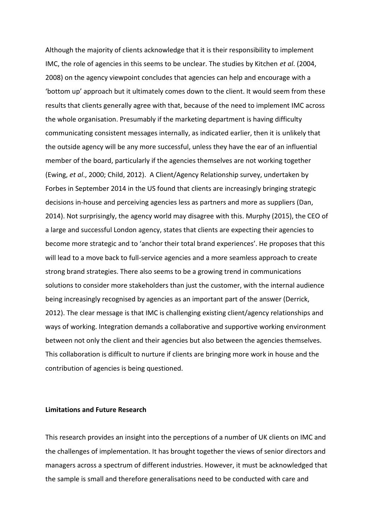Although the majority of clients acknowledge that it is their responsibility to implement IMC, the role of agencies in this seems to be unclear. The studies by Kitchen *et al*. (2004, 2008) on the agency viewpoint concludes that agencies can help and encourage with a 'bottom up' approach but it ultimately comes down to the client. It would seem from these results that clients generally agree with that, because of the need to implement IMC across the whole organisation. Presumably if the marketing department is having difficulty communicating consistent messages internally, as indicated earlier, then it is unlikely that the outside agency will be any more successful, unless they have the ear of an influential member of the board, particularly if the agencies themselves are not working together (Ewing, *et al*., 2000; Child, 2012).A Client/Agency Relationship survey, undertaken by Forbes in September 2014 in the US found that clients are increasingly bringing strategic decisions in-house and perceiving agencies less as partners and more as suppliers (Dan, 2014). Not surprisingly, the agency world may disagree with this. Murphy (2015), the CEO of a large and successful London agency, states that clients are expecting their agencies to become more strategic and to 'anchor their total brand experiences'. He proposes that this will lead to a move back to full-service agencies and a more seamless approach to create strong brand strategies. There also seems to be a growing trend in communications solutions to consider more stakeholders than just the customer, with the internal audience being increasingly recognised by agencies as an important part of the answer (Derrick, 2012). The clear message is that IMC is challenging existing client/agency relationships and ways of working. Integration demands a collaborative and supportive working environment between not only the client and their agencies but also between the agencies themselves. This collaboration is difficult to nurture if clients are bringing more work in house and the contribution of agencies is being questioned.

### **Limitations and Future Research**

This research provides an insight into the perceptions of a number of UK clients on IMC and the challenges of implementation. It has brought together the views of senior directors and managers across a spectrum of different industries. However, it must be acknowledged that the sample is small and therefore generalisations need to be conducted with care and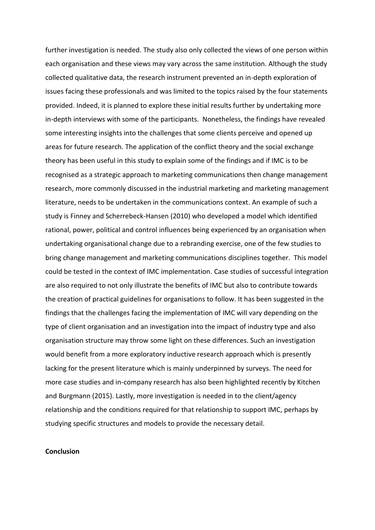further investigation is needed. The study also only collected the views of one person within each organisation and these views may vary across the same institution. Although the study collected qualitative data, the research instrument prevented an in-depth exploration of issues facing these professionals and was limited to the topics raised by the four statements provided. Indeed, it is planned to explore these initial results further by undertaking more in-depth interviews with some of the participants. Nonetheless, the findings have revealed some interesting insights into the challenges that some clients perceive and opened up areas for future research. The application of the conflict theory and the social exchange theory has been useful in this study to explain some of the findings and if IMC is to be recognised as a strategic approach to marketing communications then change management research, more commonly discussed in the industrial marketing and marketing management literature, needs to be undertaken in the communications context. An example of such a study is Finney and Scherrebeck-Hansen (2010) who developed a model which identified rational, power, political and control influences being experienced by an organisation when undertaking organisational change due to a rebranding exercise, one of the few studies to bring change management and marketing communications disciplines together. This model could be tested in the context of IMC implementation. Case studies of successful integration are also required to not only illustrate the benefits of IMC but also to contribute towards the creation of practical guidelines for organisations to follow. It has been suggested in the findings that the challenges facing the implementation of IMC will vary depending on the type of client organisation and an investigation into the impact of industry type and also organisation structure may throw some light on these differences. Such an investigation would benefit from a more exploratory inductive research approach which is presently lacking for the present literature which is mainly underpinned by surveys. The need for more case studies and in-company research has also been highlighted recently by Kitchen and Burgmann (2015). Lastly, more investigation is needed in to the client/agency relationship and the conditions required for that relationship to support IMC, perhaps by studying specific structures and models to provide the necessary detail.

# **Conclusion**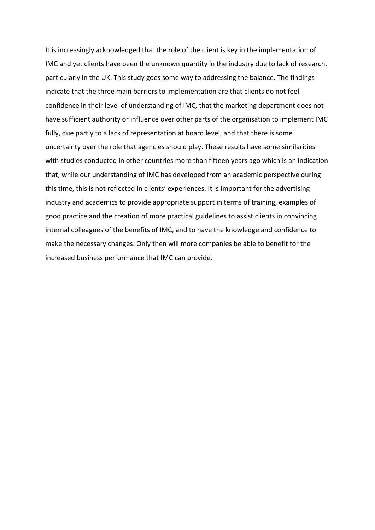It is increasingly acknowledged that the role of the client is key in the implementation of IMC and yet clients have been the unknown quantity in the industry due to lack of research, particularly in the UK. This study goes some way to addressing the balance. The findings indicate that the three main barriers to implementation are that clients do not feel confidence in their level of understanding of IMC, that the marketing department does not have sufficient authority or influence over other parts of the organisation to implement IMC fully, due partly to a lack of representation at board level, and that there is some uncertainty over the role that agencies should play. These results have some similarities with studies conducted in other countries more than fifteen years ago which is an indication that, while our understanding of IMC has developed from an academic perspective during this time, this is not reflected in clients' experiences. It is important for the advertising industry and academics to provide appropriate support in terms of training, examples of good practice and the creation of more practical guidelines to assist clients in convincing internal colleagues of the benefits of IMC, and to have the knowledge and confidence to make the necessary changes. Only then will more companies be able to benefit for the increased business performance that IMC can provide.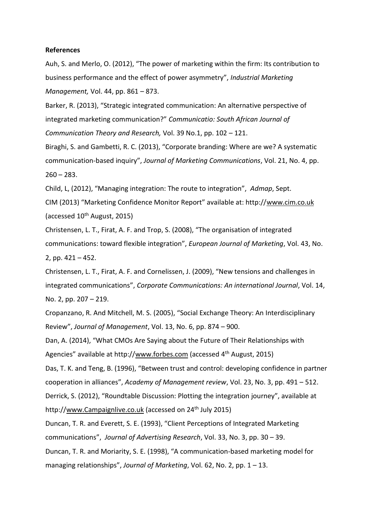### **References**

Auh, S. and Merlo, O. (2012), "The power of marketing within the firm: Its contribution to business performance and the effect of power asymmetry", *Industrial Marketing Management,* Vol. 44, pp. 861 – 873.

Barker, R. (2013), "Strategic integrated communication: An alternative perspective of integrated marketing communication?" *Communicatio: South African Journal of Communication Theory and Research,* Vol. 39 No.1, pp. 102 – 121.

Biraghi, S. and Gambetti, R. C. (2013), "Corporate branding: Where are we? A systematic communication-based inquiry", *Journal of Marketing Communications*, Vol. 21, No. 4, pp.  $260 - 283$ .

Child, L, (2012), "Managing integration: The route to integration", *Admap*, Sept.

CIM (2013) "Marketing Confidence Monitor Report" available at: http://[www.cim.co.uk](http://www.cim.co.uk/) (accessed  $10^{th}$  August, 2015)

Christensen, L. T., Firat, A. F. and Trop, S. (2008), "The organisation of integrated communications: toward flexible integration", *European Journal of Marketing*, Vol. 43, No. 2, pp. 421 – 452.

Christensen, L. T., Firat, A. F. and Cornelissen, J. (2009), "New tensions and challenges in integrated communications", *Corporate Communications: An international Journal*, Vol. 14, No. 2, pp. 207 – 219.

Cropanzano, R. And Mitchell, M. S. (2005), "Social Exchange Theory: An Interdisciplinary Review", *Journal of Management*, Vol. 13, No. 6, pp. 874 – 900.

Dan, A. (2014), "What CMOs Are Saying about the Future of Their Relationships with Agencies" available at http://[www.forbes.com](http://www.forbes.com/) (accessed 4th August, 2015)

Das, T. K. and Teng, B. (1996), "Between trust and control: developing confidence in partner cooperation in alliances", *Academy of Management review*, Vol. 23, No. 3, pp. 491 – 512.

Derrick, S. (2012), "Roundtable Discussion: Plotting the integration journey", available at http:/[/www.Campaignlive.co.uk](http://www.campaignlive.co.uk/) (accessed on 24<sup>th</sup> July 2015)

Duncan, T. R. and Everett, S. E. (1993), "Client Perceptions of Integrated Marketing communications", *Journal of Advertising Research*, Vol. 33, No. 3, pp. 30 – 39. Duncan, T. R. and Moriarity, S. E. (1998), "A communication-based marketing model for

managing relationships", *Journal of Marketing*, Vol. 62, No. 2, pp. 1 – 13.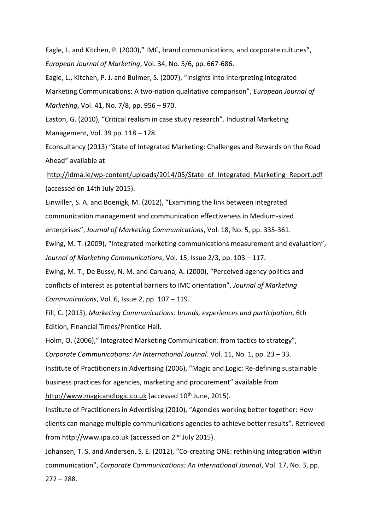Eagle, L. and Kitchen, P. (2000)," IMC, brand communications, and corporate cultures", *European Journal of Marketing*, Vol. 34, No. 5/6, pp. 667-686.

Eagle, L., Kitchen, P. J. and Bulmer, S. (2007), "Insights into interpreting Integrated Marketing Communications: A two-nation qualitative comparison", *European Journal of Marketing*, Vol. 41, No. 7/8, pp. 956 – 970.

Easton, G. (2010), "Critical realism in case study research". Industrial Marketing Management, Vol. 39 pp. 118 – 128.

Econsultancy (2013) "State of Integrated Marketing: Challenges and Rewards on the Road Ahead" available at

[http://idma.ie/wp-content/uploads/2014/05/State\\_of\\_Integrated\\_Marketing\\_Report.pdf](http://idma.ie/wp-content/uploads/2014/05/State_of_Integrated_Marketing_Report.pdf) (accessed on 14th July 2015).

Einwiller, S. A. and Boenigk, M. (2012), "Examining the link between integrated communication management and communication effectiveness in Medium-sized enterprises", *Journal of Marketing Communications*, Vol. 18, No. 5, pp. 335-361.

Ewing, M. T. (2009), "Integrated marketing communications measurement and evaluation", *Journal of Marketing Communications*, Vol. 15, Issue 2/3, pp. 103 – 117.

Ewing, M. T., De Bussy, N. M. and Caruana, A. (2000), "Perceived agency politics and conflicts of interest as potential barriers to IMC orientation", *Journal of Marketing Communications*, Vol. 6, Issue 2, pp. 107 – 119.

Fill, C. (2013), *Marketing Communications: brands, experiences and participation*, 6th Edition, Financial Times/Prentice Hall.

Holm, O. (2006)," Integrated Marketing Communication: from tactics to strategy", *Corporate Communications: An International Journal.* Vol. 11, No. 1, pp. 23 – 33. Institute of Practitioners in Advertising (2006), "Magic and Logic: Re-defining sustainable business practices for agencies, marketing and procurement" available from [http://www.magicandlogic.co.uk](http://www.magicandlogic.co.uk/) (accessed 10<sup>th</sup> June, 2015).

Institute of Practitioners in Advertising (2010), "Agencies working better together: How clients can manage multiple communications agencies to achieve better results". Retrieved from [http://www.ipa.co.uk](http://www.ipa.co.uk/) (accessed on 2<sup>nd</sup> July 2015).

Johansen, T. S. and Andersen, S. E. (2012), "Co-creating ONE: rethinking integration within communication", *Corporate Communications: An International Journal*, Vol. 17, No. 3, pp.  $272 - 288$ .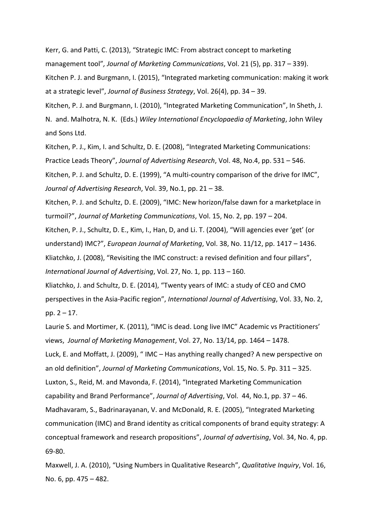Kerr, G. and Patti, C. (2013), "Strategic IMC: From abstract concept to marketing management tool"*, Journal of Marketing Communications*, Vol. 21 (5), pp. 317 – 339). Kitchen P. J. and Burgmann, I. (2015), "Integrated marketing communication: making it work at a strategic level", *Journal of Business Strategy*, Vol. 26(4), pp. 34 – 39. Kitchen, P. J. and Burgmann, I. (2010), "Integrated Marketing Communication", In Sheth, J.

N. and. Malhotra, N. K. (Eds.) *Wiley International Encyclopaedia of Marketing*, John Wiley and Sons Ltd.

Kitchen, P. J., Kim, I. and Schultz, D. E. (2008), "Integrated Marketing Communications: Practice Leads Theory", *Journal of Advertising Research*, Vol. 48, No.4, pp. 531 – 546.

Kitchen, P. J. and Schultz, D. E. (1999), "A multi-country comparison of the drive for IMC", *Journal of Advertising Research*, Vol. 39, No.1, pp. 21 – 38.

Kitchen, P. J. and Schultz, D. E. (2009), "IMC: New horizon/false dawn for a marketplace in turmoil?", *Journal of Marketing Communications*, Vol. 15, No. 2, pp. 197 – 204.

Kitchen, P. J., Schultz, D. E., Kim, I., Han, D, and Li. T. (2004), "Will agencies ever 'get' (or understand) IMC?", *European Journal of Marketing*, Vol. 38, No. 11/12, pp. 1417 – 1436. Kliatchko, J. (2008), "Revisiting the IMC construct: a revised definition and four pillars", *International Journal of Advertising*, Vol. 27, No. 1, pp. 113 – 160.

Kliatchko, J. and Schultz, D. E. (2014), "Twenty years of IMC: a study of CEO and CMO perspectives in the Asia-Pacific region", *International Journal of Advertising*, Vol. 33, No. 2, pp. 2 – 17.

Laurie S. and Mortimer, K. (2011), "IMC is dead. Long live IMC" Academic vs Practitioners' views, *Journal of Marketing Management*, Vol. 27, No. 13/14, pp. 1464 – 1478. Luck, E. and Moffatt, J. (2009), " IMC – Has anything really changed? A new perspective on an old definition", *Journal of Marketing Communications*, Vol. 15, No. 5. Pp. 311 – 325. Luxton, S., Reid, M. and Mavonda, F. (2014), "Integrated Marketing Communication capability and Brand Performance", *Journal of Advertising*, Vol. 44, No.1, pp. 37 – 46. Madhavaram, S., Badrinarayanan, V. and McDonald, R. E. (2005), "Integrated Marketing communication (IMC) and Brand identity as critical components of brand equity strategy: A conceptual framework and research propositions", *Journal of advertising*, Vol. 34, No. 4, pp. 69-80.

Maxwell, J. A. (2010), "Using Numbers in Qualitative Research", *Qualitative Inquiry*, Vol. 16, No. 6, pp. 475 – 482.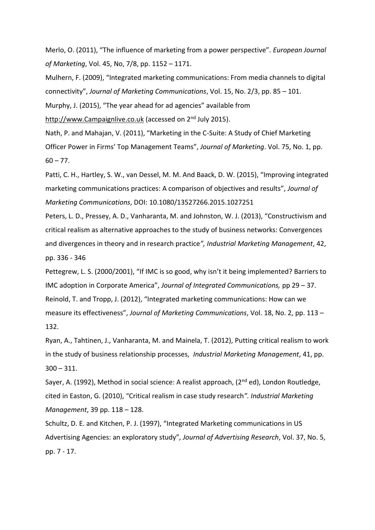Merlo, O. (2011), "The influence of marketing from a power perspective". *European Journal of Marketing*, Vol. 45, No, 7/8, pp. 1152 – 1171.

Mulhern, F. (2009), "Integrated marketing communications: From media channels to digital connectivity", *Journal of Marketing Communications*, Vol. 15, No. 2/3, pp. 85 – 101.

Murphy, J. (2015), "The year ahead for ad agencies" available from

[http://www.Campaignlive.co.uk](http://www.campaignlive.co.uk/) (accessed on 2<sup>nd</sup> July 2015).

Nath, P. and Mahajan, V. (2011), "Marketing in the C-Suite: A Study of Chief Marketing Officer Power in Firms' Top Management Teams", *Journal of Marketing*. Vol. 75, No. 1, pp.  $60 - 77$ .

Patti, C. H., Hartley, S. W., van Dessel, M. M. And Baack, D. W. (2015), "Improving integrated marketing communications practices: A comparison of objectives and results", *Journal of Marketing Communications*, DOI: 10.1080/13527266.2015.1027251

Peters, L. D., Pressey, A. D., Vanharanta, M. and Johnston, W. J. (2013), "Constructivism and critical realism as alternative approaches to the study of business networks: Convergences and divergences in theory and in research practice*", Industrial Marketing Management*, 42, pp. 336 - 346

Pettegrew, L. S. (2000/2001), "If IMC is so good, why isn't it being implemented? Barriers to IMC adoption in Corporate America", *Journal of Integrated Communications,* pp 29 – 37. Reinold, T. and Tropp, J. (2012), "Integrated marketing communications: How can we measure its effectiveness", *Journal of Marketing Communications*, Vol. 18, No. 2, pp. 113 – 132.

Ryan, A., Tahtinen, J., Vanharanta, M. and Mainela, T. (2012), Putting critical realism to work in the study of business relationship processes, *Industrial Marketing Management*, 41, pp.  $300 - 311.$ 

Sayer, A. (1992), Method in social science: A realist approach, (2<sup>nd</sup> ed), London Routledge, cited in Easton, G. (2010), "Critical realism in case study research*". Industrial Marketing Management*, 39 pp. 118 – 128.

Schultz, D. E. and Kitchen, P. J. (1997), "Integrated Marketing communications in US Advertising Agencies: an exploratory study"*, Journal of Advertising Research*, Vol. 37, No. 5, pp. 7 - 17.